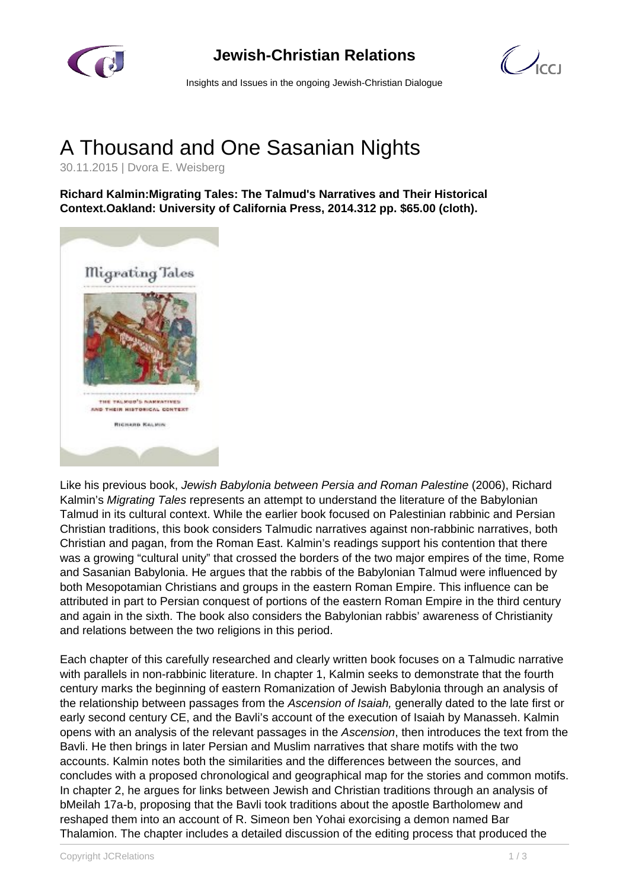

## **Jewish-Christian Relations**



Insights and Issues in the ongoing Jewish-Christian Dialogue

## A Thousand and One Sasanian Nights

30.11.2015 | Dvora E. Weisberg

**Richard Kalmin:Migrating Tales: The Talmud's Narratives and Their Historical Context.Oakland: University of California Press, 2014.312 pp. \$65.00 (cloth).**



Like his previous book, Jewish Babylonia between Persia and Roman Palestine (2006), Richard Kalmin's Migrating Tales represents an attempt to understand the literature of the Babylonian Talmud in its cultural context. While the earlier book focused on Palestinian rabbinic and Persian Christian traditions, this book considers Talmudic narratives against non-rabbinic narratives, both Christian and pagan, from the Roman East. Kalmin's readings support his contention that there was a growing "cultural unity" that crossed the borders of the two major empires of the time, Rome and Sasanian Babylonia. He argues that the rabbis of the Babylonian Talmud were influenced by both Mesopotamian Christians and groups in the eastern Roman Empire. This influence can be attributed in part to Persian conquest of portions of the eastern Roman Empire in the third century and again in the sixth. The book also considers the Babylonian rabbis' awareness of Christianity and relations between the two religions in this period.

Each chapter of this carefully researched and clearly written book focuses on a Talmudic narrative with parallels in non-rabbinic literature. In chapter 1, Kalmin seeks to demonstrate that the fourth century marks the beginning of eastern Romanization of Jewish Babylonia through an analysis of the relationship between passages from the Ascension of Isaiah, generally dated to the late first or early second century CE, and the Bavli's account of the execution of Isaiah by Manasseh. Kalmin opens with an analysis of the relevant passages in the Ascension, then introduces the text from the Bavli. He then brings in later Persian and Muslim narratives that share motifs with the two accounts. Kalmin notes both the similarities and the differences between the sources, and concludes with a proposed chronological and geographical map for the stories and common motifs. In chapter 2, he argues for links between Jewish and Christian traditions through an analysis of bMeilah 17a-b, proposing that the Bavli took traditions about the apostle Bartholomew and reshaped them into an account of R. Simeon ben Yohai exorcising a demon named Bar Thalamion. The chapter includes a detailed discussion of the editing process that produced the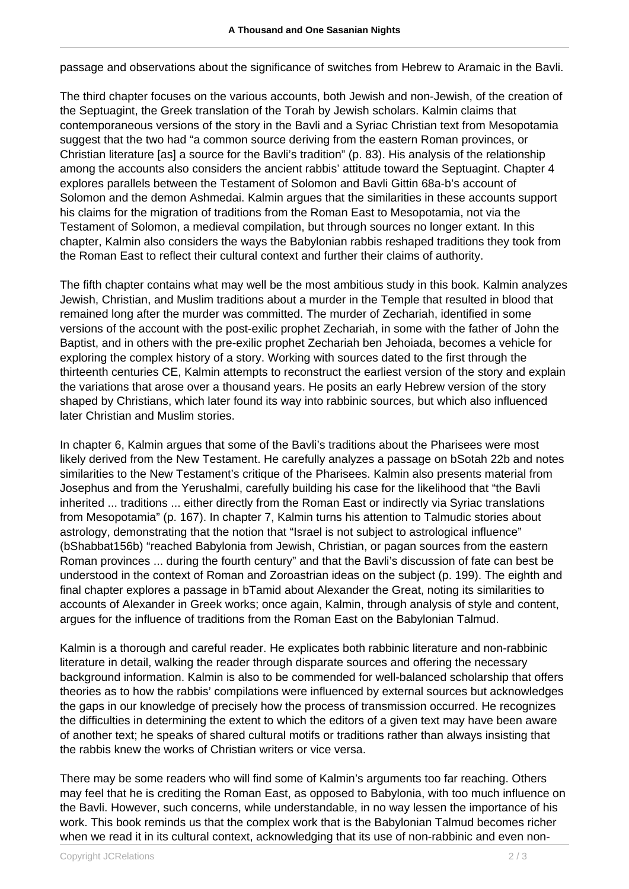passage and observations about the significance of switches from Hebrew to Aramaic in the Bavli.

The third chapter focuses on the various accounts, both Jewish and non-Jewish, of the creation of the Septuagint, the Greek translation of the Torah by Jewish scholars. Kalmin claims that contemporaneous versions of the story in the Bavli and a Syriac Christian text from Mesopotamia suggest that the two had "a common source deriving from the eastern Roman provinces, or Christian literature [as] a source for the Bavli's tradition" (p. 83). His analysis of the relationship among the accounts also considers the ancient rabbis' attitude toward the Septuagint. Chapter 4 explores parallels between the Testament of Solomon and Bavli Gittin 68a-b's account of Solomon and the demon Ashmedai. Kalmin argues that the similarities in these accounts support his claims for the migration of traditions from the Roman East to Mesopotamia, not via the Testament of Solomon, a medieval compilation, but through sources no longer extant. In this chapter, Kalmin also considers the ways the Babylonian rabbis reshaped traditions they took from the Roman East to reflect their cultural context and further their claims of authority.

The fifth chapter contains what may well be the most ambitious study in this book. Kalmin analyzes Jewish, Christian, and Muslim traditions about a murder in the Temple that resulted in blood that remained long after the murder was committed. The murder of Zechariah, identified in some versions of the account with the post-exilic prophet Zechariah, in some with the father of John the Baptist, and in others with the pre-exilic prophet Zechariah ben Jehoiada, becomes a vehicle for exploring the complex history of a story. Working with sources dated to the first through the thirteenth centuries CE, Kalmin attempts to reconstruct the earliest version of the story and explain the variations that arose over a thousand years. He posits an early Hebrew version of the story shaped by Christians, which later found its way into rabbinic sources, but which also influenced later Christian and Muslim stories.

In chapter 6, Kalmin argues that some of the Bavli's traditions about the Pharisees were most likely derived from the New Testament. He carefully analyzes a passage on bSotah 22b and notes similarities to the New Testament's critique of the Pharisees. Kalmin also presents material from Josephus and from the Yerushalmi, carefully building his case for the likelihood that "the Bavli inherited ... traditions ... either directly from the Roman East or indirectly via Syriac translations from Mesopotamia" (p. 167). In chapter 7, Kalmin turns his attention to Talmudic stories about astrology, demonstrating that the notion that "Israel is not subject to astrological influence" (bShabbat156b) "reached Babylonia from Jewish, Christian, or pagan sources from the eastern Roman provinces ... during the fourth century" and that the Bavli's discussion of fate can best be understood in the context of Roman and Zoroastrian ideas on the subject (p. 199). The eighth and final chapter explores a passage in bTamid about Alexander the Great, noting its similarities to accounts of Alexander in Greek works; once again, Kalmin, through analysis of style and content, argues for the influence of traditions from the Roman East on the Babylonian Talmud.

Kalmin is a thorough and careful reader. He explicates both rabbinic literature and non-rabbinic literature in detail, walking the reader through disparate sources and offering the necessary background information. Kalmin is also to be commended for well-balanced scholarship that offers theories as to how the rabbis' compilations were influenced by external sources but acknowledges the gaps in our knowledge of precisely how the process of transmission occurred. He recognizes the difficulties in determining the extent to which the editors of a given text may have been aware of another text; he speaks of shared cultural motifs or traditions rather than always insisting that the rabbis knew the works of Christian writers or vice versa.

There may be some readers who will find some of Kalmin's arguments too far reaching. Others may feel that he is crediting the Roman East, as opposed to Babylonia, with too much influence on the Bavli. However, such concerns, while understandable, in no way lessen the importance of his work. This book reminds us that the complex work that is the Babylonian Talmud becomes richer when we read it in its cultural context, acknowledging that its use of non-rabbinic and even non